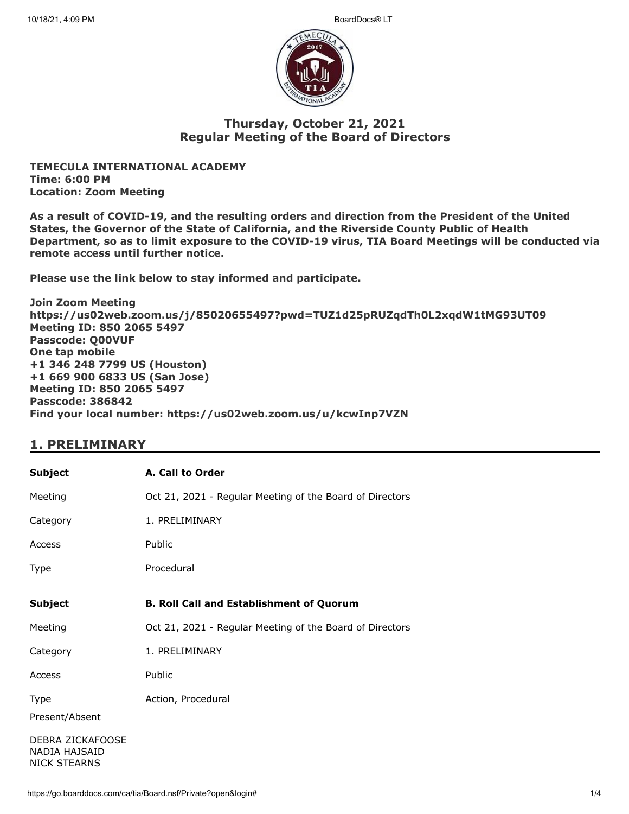

### **Thursday, October 21, 2021 Regular Meeting of the Board of Directors**

**TEMECULA INTERNATIONAL ACADEMY Time: 6:00 PM Location: Zoom Meeting**

**As a result of COVID-19, and the resulting orders and direction from the President of the United States, the Governor of the State of California, and the Riverside County Public of Health Department, so as to limit exposure to the COVID-19 virus, TIA Board Meetings will be conducted via remote access until further notice.**

**Please use the link below to stay informed and participate.** 

**Join Zoom Meeting https://us02web.zoom.us/j/85020655497?pwd=TUZ1d25pRUZqdTh0L2xqdW1tMG93UT09 Meeting ID: 850 2065 5497 Passcode: Q00VUF One tap mobile +1 346 248 7799 US (Houston) +1 669 900 6833 US (San Jose) Meeting ID: 850 2065 5497 Passcode: 386842 Find your local number: https://us02web.zoom.us/u/kcwInp7VZN**

## **1. PRELIMINARY**

| <b>Subject</b>                                           | A. Call to Order                                         |
|----------------------------------------------------------|----------------------------------------------------------|
| Meeting                                                  | Oct 21, 2021 - Regular Meeting of the Board of Directors |
| Category                                                 | 1. PRELIMINARY                                           |
| Access                                                   | Public                                                   |
| Type                                                     | Procedural                                               |
| <b>Subject</b>                                           | <b>B. Roll Call and Establishment of Quorum</b>          |
| Meeting                                                  | Oct 21, 2021 - Regular Meeting of the Board of Directors |
| Category                                                 | 1. PRELIMINARY                                           |
| Access                                                   | Public                                                   |
| Type                                                     | Action, Procedural                                       |
| Present/Absent                                           |                                                          |
| DEBRA ZICKAFOOSE<br>NADIA HAJSAID<br><b>NICK STEARNS</b> |                                                          |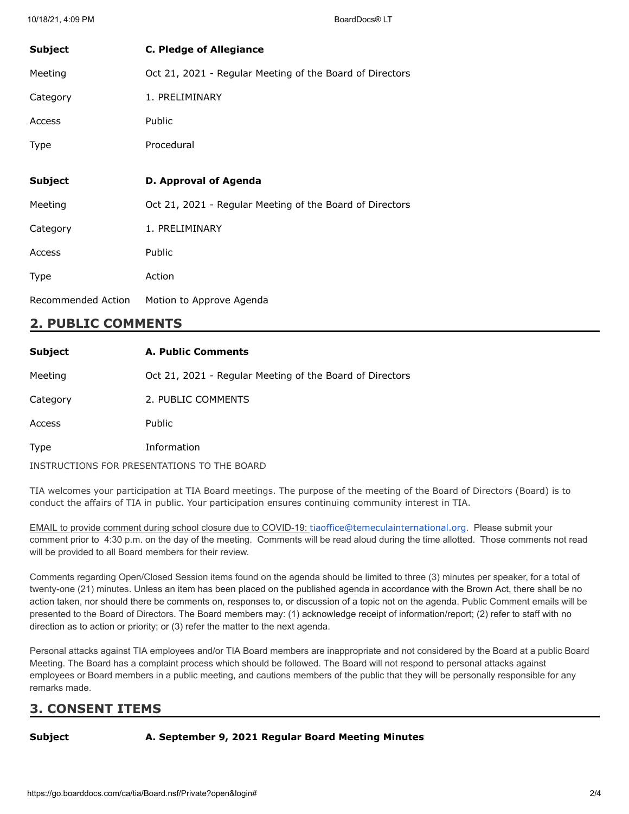| <b>Subject</b> | <b>C. Pledge of Allegiance</b>                           |
|----------------|----------------------------------------------------------|
| Meeting        | Oct 21, 2021 - Regular Meeting of the Board of Directors |
| Category       | 1. PRELIMINARY                                           |
| Access         | Public                                                   |
| Type           | Procedural                                               |
|                |                                                          |
| <b>Subject</b> | D. Approval of Agenda                                    |
|                |                                                          |
| Meeting        | Oct 21, 2021 - Regular Meeting of the Board of Directors |
| Category       | 1. PRELIMINARY                                           |
| Access         | Public                                                   |
| Type           | Action                                                   |

## **2. PUBLIC COMMENTS**

| <b>Subject</b> | <b>A. Public Comments</b>                                |
|----------------|----------------------------------------------------------|
| Meeting        | Oct 21, 2021 - Regular Meeting of the Board of Directors |
| Category       | 2. PUBLIC COMMENTS                                       |
| Access         | <b>Public</b>                                            |
| Type           | Information                                              |
|                | INSTRUCTIONS FOR PRESENTATIONS TO THE BOARD              |

TIA welcomes your participation at TIA Board meetings. The purpose of the meeting of the Board of Directors (Board) is to conduct the affairs of TIA in public. Your participation ensures continuing community interest in TIA.

EMAIL to provide comment during school closure due to COVID-19: [tiaoffice@temeculainternational.org](mailto:tiaoffice@temeculainternational.org). Please submit your comment prior to 4:30 p.m. on the day of the meeting. Comments will be read aloud during the time allotted. Those comments not read will be provided to all Board members for their review.

Comments regarding Open/Closed Session items found on the agenda should be limited to three (3) minutes per speaker, for a total of twenty-one (21) minutes. Unless an item has been placed on the published agenda in accordance with the Brown Act, there shall be no action taken, nor should there be comments on, responses to, or discussion of a topic not on the agenda. Public Comment emails will be presented to the Board of Directors. The Board members may: (1) acknowledge receipt of information/report; (2) refer to staff with no direction as to action or priority; or (3) refer the matter to the next agenda.

Personal attacks against TIA employees and/or TIA Board members are inappropriate and not considered by the Board at a public Board Meeting. The Board has a complaint process which should be followed. The Board will not respond to personal attacks against employees or Board members in a public meeting, and cautions members of the public that they will be personally responsible for any remarks made.

# **3. CONSENT ITEMS**

**Subject A. September 9, 2021 Regular Board Meeting Minutes**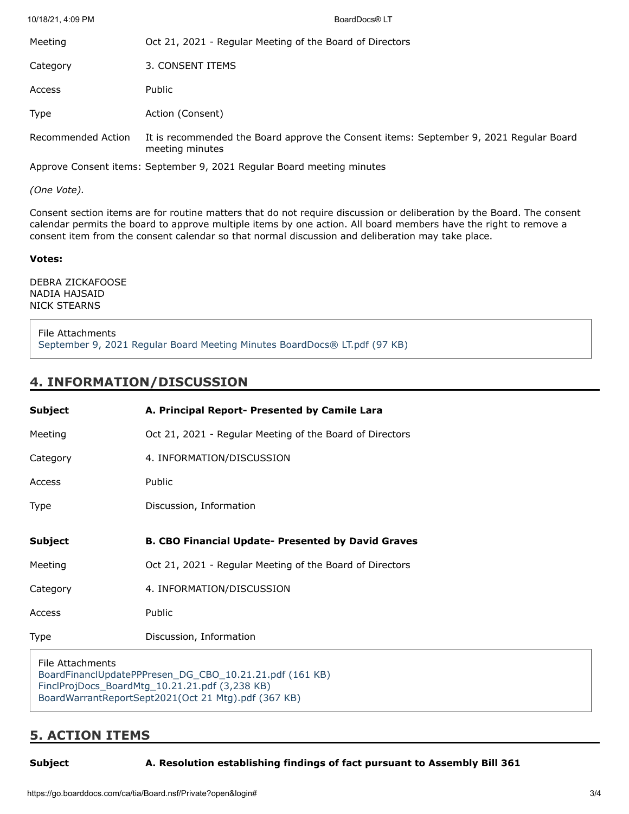| 10/18/21, 4:09 PM  | BoardDocs® LT                                                                                             |
|--------------------|-----------------------------------------------------------------------------------------------------------|
| Meeting            | Oct 21, 2021 - Regular Meeting of the Board of Directors                                                  |
| Category           | 3. CONSENT ITEMS                                                                                          |
| Access             | Public                                                                                                    |
| <b>Type</b>        | Action (Consent)                                                                                          |
| Recommended Action | It is recommended the Board approve the Consent items: September 9, 2021 Regular Board<br>meeting minutes |
|                    |                                                                                                           |

Approve Consent items: September 9, 2021 Regular Board meeting minutes

*(One Vote).*

Consent section items are for routine matters that do not require discussion or deliberation by the Board. The consent calendar permits the board to approve multiple items by one action. All board members have the right to remove a consent item from the consent calendar so that normal discussion and deliberation may take place.

### **Votes:**

DEBRA ZICKAFOOSE NADIA HAJSAID NICK STEARNS

File Attachments [September 9, 2021 Regular Board Meeting Minutes BoardDocs® LT.pdf \(97 KB\)](https://go.boarddocs.com/ca/tia/Board.nsf/files/C7WT6S7585CF/$file/September%209%2C%202021%20Regular%20Board%20Meeting%20Minutes%20BoardDocs%C2%AE%20LT.pdf)

### **4. INFORMATION/DISCUSSION**

| <b>Subject</b>                                                              | A. Principal Report- Presented by Camile Lara             |
|-----------------------------------------------------------------------------|-----------------------------------------------------------|
| Meeting                                                                     | Oct 21, 2021 - Regular Meeting of the Board of Directors  |
| Category                                                                    | 4. INFORMATION/DISCUSSION                                 |
| Access                                                                      | Public                                                    |
| <b>Type</b>                                                                 | Discussion, Information                                   |
| <b>Subject</b>                                                              | <b>B. CBO Financial Update- Presented by David Graves</b> |
| Meeting                                                                     | Oct 21, 2021 - Regular Meeting of the Board of Directors  |
| Category                                                                    | 4. INFORMATION/DISCUSSION                                 |
| Access                                                                      | Public                                                    |
| Type                                                                        | Discussion, Information                                   |
| File Attachments<br>BoardFinanclUpdatePPPresen_DG_CBO_10.21.21.pdf (161 KB) |                                                           |

[FinclProjDocs\\_BoardMtg\\_10.21.21.pdf \(3,238 KB\)](https://go.boarddocs.com/ca/tia/Board.nsf/files/C7WT6B756D07/$file/FinclProjDocs_BoardMtg_10.21.21.pdf) [BoardWarrantReportSept2021\(Oct 21 Mtg\).pdf \(367 KB\)](https://go.boarddocs.com/ca/tia/Board.nsf/files/C7WT6H7573AB/$file/BoardWarrantReportSept2021(Oct%2021%20Mtg).pdf)

## **5. ACTION ITEMS**

**Subject A. Resolution establishing findings of fact pursuant to Assembly Bill 361**